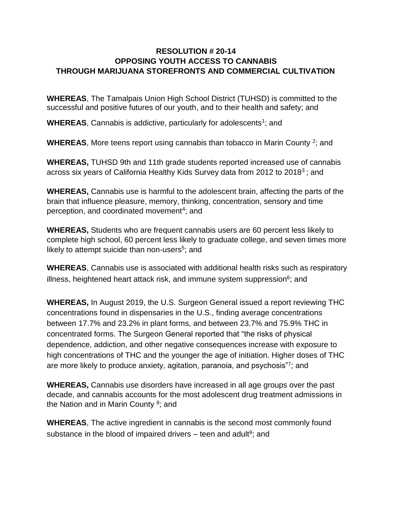## **RESOLUTION # 20-14 OPPOSING YOUTH ACCESS TO CANNABIS THROUGH MARIJUANA STOREFRONTS AND COMMERCIAL CULTIVATION**

**WHEREAS**, The Tamalpais Union High School District (TUHSD) is committed to the successful and positive futures of our youth, and to their health and safety; and

WHEREAS, Cannabis is addictive, particularly for adolescents<sup>1</sup>; and

WHEREAS, More teens report using cannabis than tobacco in Marin County <sup>2</sup>; and

**WHEREAS,** TUHSD 9th and 11th grade students reported increased use of cannabis across six years of California Healthy Kids Survey data from 2012 to 2018<sup>3</sup>; and

**WHEREAS,** Cannabis use is harmful to the adolescent brain, affecting the parts of the brain that influence pleasure, memory, thinking, concentration, sensory and time perception, and coordinated movement<sup>4</sup>; and

**WHEREAS,** Students who are frequent cannabis users are 60 percent less likely to complete high school, 60 percent less likely to graduate college, and seven times more likely to attempt suicide than non-users<sup>5</sup>; and

**WHEREAS**, Cannabis use is associated with additional health risks such as respiratory illness, heightened heart attack risk, and immune system suppression<sup>6</sup>; and

**WHEREAS,** In August 2019, the U.S. Surgeon General issued a report reviewing THC concentrations found in dispensaries in the U.S., finding average concentrations between 17.7% and 23.2% in plant forms, and between 23.7% and 75.9% THC in concentrated forms. The Surgeon General reported that "the risks of physical dependence, addiction, and other negative consequences increase with exposure to high concentrations of THC and the younger the age of initiation. Higher doses of THC are more likely to produce anxiety, agitation, paranoia, and psychosis"7; and

**WHEREAS,** Cannabis use disorders have increased in all age groups over the past decade, and cannabis accounts for the most adolescent drug treatment admissions in the Nation and in Marin County<sup>8</sup>; and

**WHEREAS**, The active ingredient in cannabis is the second most commonly found substance in the blood of impaired drivers  $-$  teen and adult<sup>9</sup>; and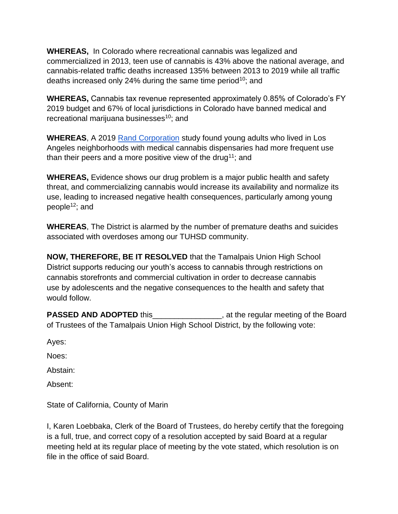**WHEREAS,** In Colorado where recreational cannabis was legalized and commercialized in 2013, teen use of cannabis is 43% above the national average, and cannabis-related traffic deaths increased 135% between 2013 to 2019 while all traffic deaths increased only 24% during the same time period<sup>10</sup>; and

**WHEREAS,** Cannabis tax revenue represented approximately 0.85% of Colorado's FY 2019 budget and 67% of local jurisdictions in Colorado have banned medical and recreational marijuana businesses<sup>10</sup>; and

**WHEREAS**, A 2019 [Rand Corporation](https://www.rand.org/) study found young adults who lived in Los Angeles neighborhoods with medical cannabis dispensaries had more frequent use than their peers and a more positive view of the drug<sup>11</sup>; and

**WHEREAS,** Evidence shows our drug problem is a major public health and safety threat, and commercializing cannabis would increase its availability and normalize its use, leading to increased negative health consequences, particularly among young people<sup>12</sup>; and

**WHEREAS**, The District is alarmed by the number of premature deaths and suicides associated with overdoses among our TUHSD community.

**NOW, THEREFORE, BE IT RESOLVED** that the Tamalpais Union High School District supports reducing our youth's access to cannabis through restrictions on cannabis storefronts and commercial cultivation in order to decrease cannabis use by adolescents and the negative consequences to the health and safety that would follow.

**PASSED AND ADOPTED** this **EXECUTED** at the regular meeting of the Board of Trustees of the Tamalpais Union High School District, by the following vote:

Ayes:

Noes:

Abstain:

Absent:

State of California, County of Marin

I, Karen Loebbaka, Clerk of the Board of Trustees, do hereby certify that the foregoing is a full, true, and correct copy of a resolution accepted by said Board at a regular meeting held at its regular place of meeting by the vote stated, which resolution is on file in the office of said Board.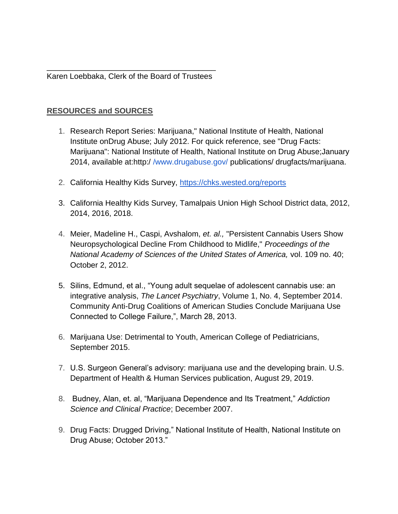\_\_\_\_\_\_\_\_\_\_\_\_\_\_\_\_\_\_\_\_\_\_\_\_\_\_\_\_\_\_\_\_\_\_\_\_\_\_\_ Karen Loebbaka, Clerk of the Board of Trustees

## **RESOURCES and SOURCES**

- 1. Research Report Series: Marijuana," National Institute of Health, National Institute onDrug Abuse; July 2012. For quick reference, see "Drug Facts: Marijuana": National Institute of Health, National Institute on Drug Abuse;January 2014, available at:http:/ [/www.drugabuse.gov/](http://www.drugabuse.gov/) publications/ drugfacts/marijuana.
- 2. California Healthy Kids Survey, <https://chks.wested.org/reports>
- 3. California Healthy Kids Survey, Tamalpais Union High School District data, 2012, 2014, 2016, 2018.
- 4. Meier, Madeline H., Caspi, Avshalom, *et. al.,* "Persistent Cannabis Users Show Neuropsychological Decline From Childhood to Midlife," *Proceedings of the National Academy of Sciences of the United States of America,* vol. 109 no. 40; October 2, 2012.
- 5. Silins, Edmund, et al., "Young adult sequelae of adolescent cannabis use: an integrative analysis, *The Lancet Psychiatry*, Volume 1, No. 4, September 2014. Community Anti-Drug Coalitions of American Studies Conclude Marijuana Use Connected to College Failure,", March 28, 2013.
- 6. Marijuana Use: Detrimental to Youth, American College of Pediatricians, September 2015.
- 7. U.S. Surgeon General's advisory: marijuana use and the developing brain. U.S. Department of Health & Human Services publication, August 29, 2019.
- 8. Budney, Alan, et. al, "Marijuana Dependence and Its Treatment," *Addiction Science and Clinical Practice*; December 2007.
- 9. Drug Facts: Drugged Driving," National Institute of Health, National Institute on Drug Abuse; October 2013."